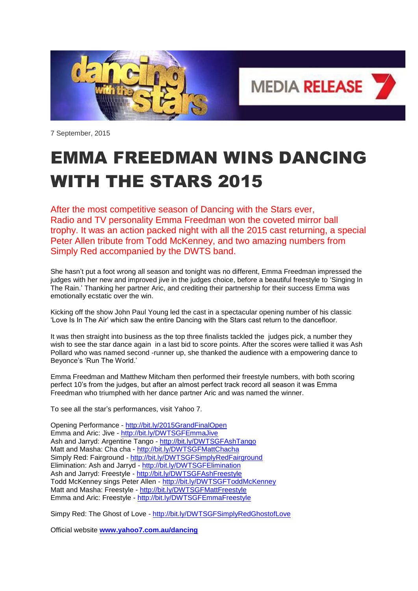

7 September, 2015

## EMMA FREEDMAN WINS DANCING WITH THE STARS 2015

After the most competitive season of Dancing with the Stars ever, Radio and TV personality Emma Freedman won the coveted mirror ball trophy. It was an action packed night with all the 2015 cast returning, a special Peter Allen tribute from Todd McKenney, and two amazing numbers from Simply Red accompanied by the DWTS band.

She hasn't put a foot wrong all season and tonight was no different, Emma Freedman impressed the judges with her new and improved jive in the judges choice, before a beautiful freestyle to 'Singing In The Rain.' Thanking her partner Aric, and crediting their partnership for their success Emma was emotionally ecstatic over the win.

Kicking off the show John Paul Young led the cast in a spectacular opening number of his classic 'Love Is In The Air' which saw the entire Dancing with the Stars cast return to the dancefloor.

It was then straight into business as the top three finalists tackled the judges pick, a number they wish to see the star dance again in a last bid to score points. After the scores were tallied it was Ash Pollard who was named second -runner up, she thanked the audience with a empowering dance to Beyonce's 'Run The World.'

Emma Freedman and Matthew Mitcham then performed their freestyle numbers, with both scoring perfect 10's from the judges, but after an almost perfect track record all season it was Emma Freedman who triumphed with her dance partner Aric and was named the winner.

To see all the star's performances, visit Yahoo 7.

Opening Performance - <http://bit.ly/2015GrandFinalOpen> Emma and Aric: Jive - <http://bit.ly/DWTSGFEmmaJive> Ash and Jarryd: Argentine Tango - <http://bit.ly/DWTSGFAshTango> Matt and Masha: Cha cha - <http://bit.ly/DWTSGFMattChacha> Simply Red: Fairground - <http://bit.ly/DWTSGFSimplyRedFairground> Elimination: Ash and Jarryd - <http://bit.ly/DWTSGFElimination> Ash and Jarryd: Freestyle - <http://bit.ly/DWTSGFAshFreestyle> Todd McKenney sings Peter Allen - <http://bit.ly/DWTSGFToddMcKenney> Matt and Masha: Freestyle - <http://bit.ly/DWTSGFMattFreestyle> Emma and Aric: Freestyle - <http://bit.ly/DWTSGFEmmaFreestyle>

Simpy Red: The Ghost of Love - <http://bit.ly/DWTSGFSimplyRedGhostofLove>

Official website **[www.yahoo7.com.au/dancing](http://www.yahoo7.com.au/dancing)**